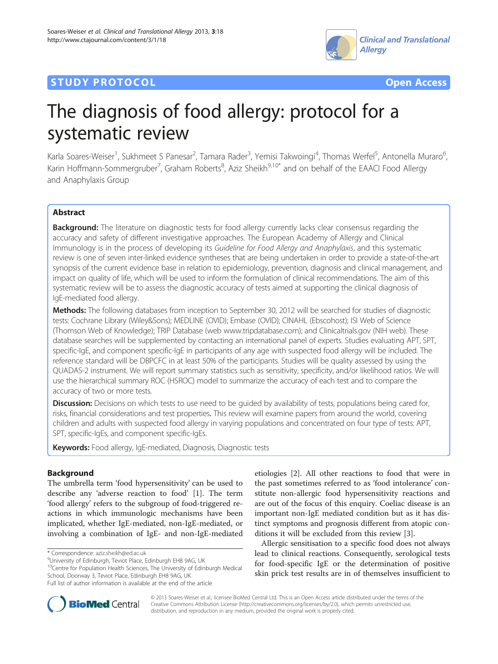

## **STUDY PROTOCOL CONSUMING THE CONSUMING TO A RESERVE A** CONSUMING THE CONSUMING THE CONSUMING THE CONSUMING THE CONSUMING THE CONSUMING THE CONSUMING THE CONSUMING THE CONSUMING THE CONSUMING THE CONSUMING THE CONSUMING



# The diagnosis of food allergy: protocol for a systematic review

Karla Soares-Weiser<sup>1</sup>, Sukhmeet S Panesar<sup>2</sup>, Tamara Rader<sup>3</sup>, Yemisi Takwoingi<sup>4</sup>, Thomas Werfel<sup>5</sup>, Antonella Muraro<sup>6</sup> , Karin Hoffmann-Sommergruber<sup>7</sup>, Graham Roberts<sup>8</sup>, Aziz Sheikh<sup>9,10\*</sup> and on behalf of the EAACI Food Allergy and Anaphylaxis Group

## Abstract

**Background:** The literature on diagnostic tests for food allergy currently lacks clear consensus regarding the accuracy and safety of different investigative approaches. The European Academy of Allergy and Clinical Immunology is in the process of developing its Guideline for Food Allergy and Anaphylaxis, and this systematic review is one of seven inter-linked evidence syntheses that are being undertaken in order to provide a state-of-the-art synopsis of the current evidence base in relation to epidemiology, prevention, diagnosis and clinical management, and impact on quality of life, which will be used to inform the formulation of clinical recommendations. The aim of this systematic review will be to assess the diagnostic accuracy of tests aimed at supporting the clinical diagnosis of IgE-mediated food allergy.

Methods: The following databases from inception to September 30, 2012 will be searched for studies of diagnostic tests: Cochrane Library (Wiley&Sons); MEDLINE (OVID); Embase (OVID); CINAHL (Ebscohost); ISI Web of Science (Thomson Web of Knowledge); TRIP Database (web [www.tripdatabase.com\)](http://www.tripdatabase.com); and Clinicaltrials.gov (NIH web). These database searches will be supplemented by contacting an international panel of experts. Studies evaluating APT, SPT, specific-IgE, and component specific-IgE in participants of any age with suspected food allergy will be included. The reference standard will be DBPCFC in at least 50% of the participants. Studies will be quality assessed by using the QUADAS-2 instrument. We will report summary statistics such as sensitivity, specificity, and/or likelihood ratios. We will use the hierarchical summary ROC (HSROC) model to summarize the accuracy of each test and to compare the accuracy of two or more tests.

Discussion: Decisions on which tests to use need to be guided by availability of tests, populations being cared for, risks, financial considerations and test properties. This review will examine papers from around the world, covering children and adults with suspected food allergy in varying populations and concentrated on four type of tests: APT, SPT, specific-IgEs, and component specific-IgEs.

Keywords: Food allergy, IgE-mediated, Diagnosis, Diagnostic tests

## Background

The umbrella term 'food hypersensitivity' can be used to describe any 'adverse reaction to food' [[1\]](#page-4-0). The term 'food allergy' refers to the subgroup of food-triggered reactions in which immunologic mechanisms have been implicated, whether IgE-mediated, non-IgE-mediated, or involving a combination of IgE- and non-IgE-mediated

etiologies [[2\]](#page-4-0). All other reactions to food that were in the past sometimes referred to as 'food intolerance' constitute non-allergic food hypersensitivity reactions and are out of the focus of this enquiry. Coeliac disease is an important non-IgE mediated condition but as it has distinct symptoms and prognosis different from atopic conditions it will be excluded from this review [\[3](#page-4-0)].

Allergic sensitisation to a specific food does not always lead to clinical reactions. Consequently, serological tests for food-specific IgE or the determination of positive skin prick test results are in of themselves insufficient to



© 2013 Soares-Weiser et al.; licensee BioMed Central Ltd. This is an Open Access article distributed under the terms of the Creative Commons Attribution License (<http://creativecommons.org/licenses/by/2.0>), which permits unrestricted use, distribution, and reproduction in any medium, provided the original work is properly cited.

<sup>\*</sup> Correspondence: [aziz.sheikh@ed.ac.uk](mailto:aziz.sheikh@ed.ac.uk) <sup>9</sup>

University of Edinburgh, Teviot Place, Edinburgh EH8 9AG, UK

<sup>10</sup>Centre for Population Health Sciences, The University of Edinburgh Medical School, Doorway 3, Teviot Place, Edinburgh EH8 9AG, UK

Full list of author information is available at the end of the article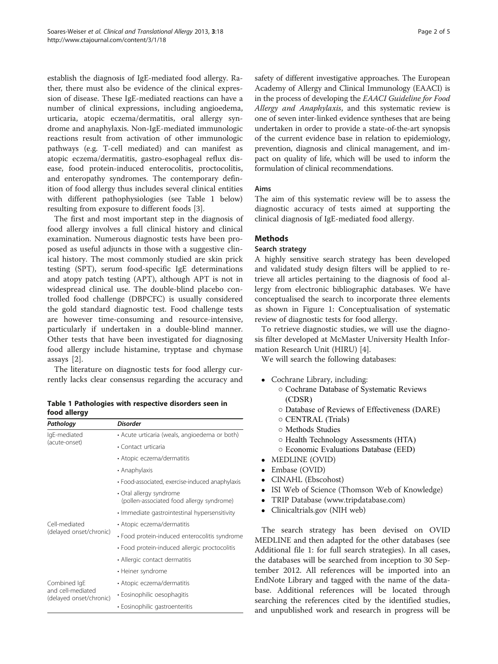<span id="page-1-0"></span>establish the diagnosis of IgE-mediated food allergy. Rather, there must also be evidence of the clinical expression of disease. These IgE-mediated reactions can have a number of clinical expressions, including angioedema, urticaria, atopic eczema/dermatitis, oral allergy syndrome and anaphylaxis. Non-IgE-mediated immunologic reactions result from activation of other immunologic pathways (e.g. T-cell mediated) and can manifest as atopic eczema/dermatitis, gastro-esophageal reflux disease, food protein-induced enterocolitis, proctocolitis, and enteropathy syndromes. The contemporary definition of food allergy thus includes several clinical entities with different pathophysiologies (see Table 1 below) resulting from exposure to different foods [[3\]](#page-4-0).

The first and most important step in the diagnosis of food allergy involves a full clinical history and clinical examination. Numerous diagnostic tests have been proposed as useful adjuncts in those with a suggestive clinical history. The most commonly studied are skin prick testing (SPT), serum food-specific IgE determinations and atopy patch testing (APT), although APT is not in widespread clinical use. The double-blind placebo controlled food challenge (DBPCFC) is usually considered the gold standard diagnostic test. Food challenge tests are however time-consuming and resource-intensive, particularly if undertaken in a double-blind manner. Other tests that have been investigated for diagnosing food allergy include histamine, tryptase and chymase assays [[2](#page-4-0)].

The literature on diagnostic tests for food allergy currently lacks clear consensus regarding the accuracy and

Table 1 Pathologies with respective disorders seen in food allergy

| Pathology                                                    | <b>Disorder</b>                                                      |
|--------------------------------------------------------------|----------------------------------------------------------------------|
| IgE-mediated<br>(acute-onset)                                | • Acute urticaria (weals, angioedema or both)                        |
|                                                              | • Contact urticaria                                                  |
|                                                              | • Atopic eczema/dermatitis                                           |
|                                                              | • Anaphylaxis                                                        |
|                                                              | • Food-associated, exercise-induced anaphylaxis                      |
|                                                              | • Oral allergy syndrome<br>(pollen-associated food allergy syndrome) |
|                                                              | • Immediate gastrointestinal hypersensitivity                        |
| Cell-mediated<br>(delayed onset/chronic)                     | • Atopic eczema/dermatitis                                           |
|                                                              | · Food protein-induced enterocolitis syndrome                        |
|                                                              | · Food protein-induced allergic proctocolitis                        |
|                                                              | • Allergic contact dermatitis                                        |
|                                                              | • Heiner syndrome                                                    |
| Combined IqE<br>and cell-mediated<br>(delayed onset/chronic) | • Atopic eczema/dermatitis                                           |
|                                                              | • Eosinophilic oesophagitis                                          |
|                                                              | • Eosinophilic gastroenteritis                                       |

safety of different investigative approaches. The European Academy of Allergy and Clinical Immunology (EAACI) is in the process of developing the EAACI Guideline for Food Allergy and Anaphylaxis, and this systematic review is one of seven inter-linked evidence syntheses that are being undertaken in order to provide a state-of-the-art synopsis of the current evidence base in relation to epidemiology, prevention, diagnosis and clinical management, and impact on quality of life, which will be used to inform the formulation of clinical recommendations.

#### Aims

The aim of this systematic review will be to assess the diagnostic accuracy of tests aimed at supporting the clinical diagnosis of IgE-mediated food allergy.

## **Methods**

#### Search strategy

A highly sensitive search strategy has been developed and validated study design filters will be applied to retrieve all articles pertaining to the diagnosis of food allergy from electronic bibliographic databases. We have conceptualised the search to incorporate three elements as shown in Figure [1:](#page-2-0) Conceptualisation of systematic review of diagnostic tests for food allergy.

To retrieve diagnostic studies, we will use the diagnosis filter developed at McMaster University Health Information Research Unit (HIRU) [[4](#page-4-0)].

We will search the following databases:

- Cochrane Library, including:
	- Cochrane Database of Systematic Reviews (CDSR)
	- Database of Reviews of Effectiveness (DARE)
	- CENTRAL (Trials)
	- Methods Studies
	- Health Technology Assessments (HTA)
	- Economic Evaluations Database (EED)
- MEDLINE (OVID)
- Embase (OVID)
- CINAHL (Ebscohost)
- ISI Web of Science (Thomson Web of Knowledge)
- TRIP Database (www.tripdatabase.com)
- Clinicaltrials.gov (NIH web)

The search strategy has been devised on OVID MEDLINE and then adapted for the other databases (see Additional file [1](#page-4-0): for full search strategies). In all cases, the databases will be searched from inception to 30 September 2012. All references will be imported into an EndNote Library and tagged with the name of the database. Additional references will be located through searching the references cited by the identified studies, and unpublished work and research in progress will be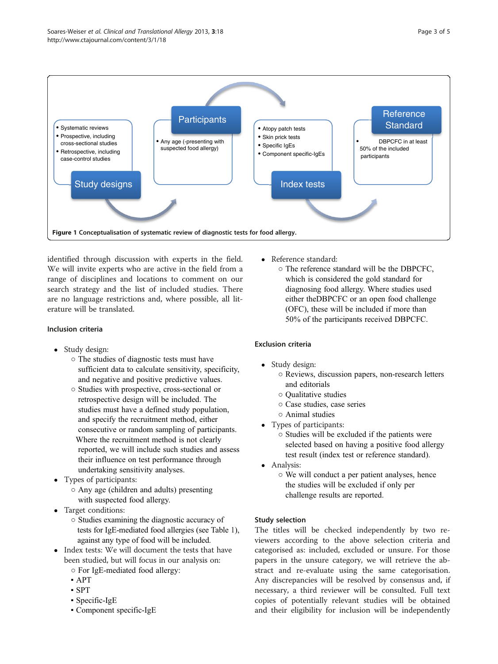<span id="page-2-0"></span>

identified through discussion with experts in the field. We will invite experts who are active in the field from a range of disciplines and locations to comment on our search strategy and the list of included studies. There are no language restrictions and, where possible, all literature will be translated.

## Inclusion criteria

- Study design:
	- The studies of diagnostic tests must have sufficient data to calculate sensitivity, specificity, and negative and positive predictive values.
	- Studies with prospective, cross-sectional or retrospective design will be included. The studies must have a defined study population, and specify the recruitment method, either consecutive or random sampling of participants. Where the recruitment method is not clearly reported, we will include such studies and assess their influence on test performance through undertaking sensitivity analyses.
- Types of participants:
	- Any age (children and adults) presenting with suspected food allergy.
- Target conditions:
	- Studies examining the diagnostic accuracy of tests for IgE-mediated food allergies (see Table [1\)](#page-1-0), against any type of food will be included.
- Index tests: We will document the tests that have been studied, but will focus in our analysis on:
	- For IgE-mediated food allergy:
	- APT
	- SPT
	- Specific-IgE
	- Component specific-IgE
- Reference standard:
	- The reference standard will be the DBPCFC, which is considered the gold standard for diagnosing food allergy. Where studies used either theDBPCFC or an open food challenge (OFC), these will be included if more than 50% of the participants received DBPCFC.

## Exclusion criteria

- Study design:
	- Reviews, discussion papers, non-research letters and editorials
	- Qualitative studies
	- Case studies, case series
	- Animal studies
- Types of participants:
	- Studies will be excluded if the patients were selected based on having a positive food allergy test result (index test or reference standard).
- Analysis:
	- We will conduct a per patient analyses, hence the studies will be excluded if only per challenge results are reported.

### Study selection

The titles will be checked independently by two reviewers according to the above selection criteria and categorised as: included, excluded or unsure. For those papers in the unsure category, we will retrieve the abstract and re-evaluate using the same categorisation. Any discrepancies will be resolved by consensus and, if necessary, a third reviewer will be consulted. Full text copies of potentially relevant studies will be obtained and their eligibility for inclusion will be independently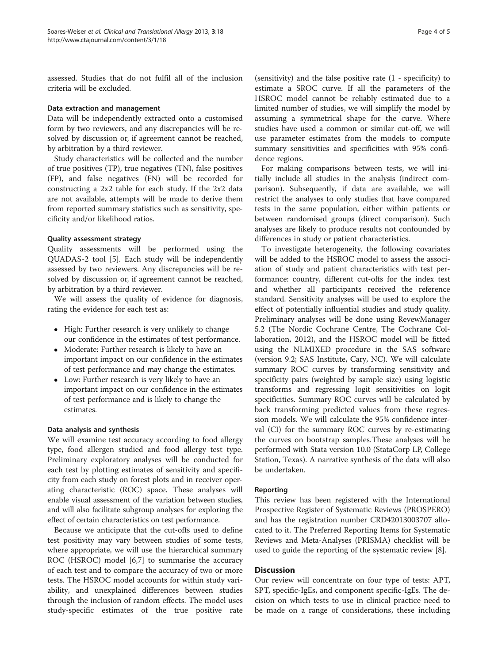assessed. Studies that do not fulfil all of the inclusion criteria will be excluded.

#### Data extraction and management

Data will be independently extracted onto a customised form by two reviewers, and any discrepancies will be resolved by discussion or, if agreement cannot be reached, by arbitration by a third reviewer.

Study characteristics will be collected and the number of true positives (TP), true negatives (TN), false positives (FP), and false negatives (FN) will be recorded for constructing a 2x2 table for each study. If the 2x2 data are not available, attempts will be made to derive them from reported summary statistics such as sensitivity, specificity and/or likelihood ratios.

## Quality assessment strategy

Quality assessments will be performed using the QUADAS-2 tool [\[5](#page-4-0)]. Each study will be independently assessed by two reviewers. Any discrepancies will be resolved by discussion or, if agreement cannot be reached, by arbitration by a third reviewer.

We will assess the quality of evidence for diagnosis, rating the evidence for each test as:

- High: Further research is very unlikely to change our confidence in the estimates of test performance.
- Moderate: Further research is likely to have an important impact on our confidence in the estimates of test performance and may change the estimates.
- Low: Further research is very likely to have an important impact on our confidence in the estimates of test performance and is likely to change the estimates.

### Data analysis and synthesis

We will examine test accuracy according to food allergy type, food allergen studied and food allergy test type. Preliminary exploratory analyses will be conducted for each test by plotting estimates of sensitivity and specificity from each study on forest plots and in receiver operating characteristic (ROC) space. These analyses will enable visual assessment of the variation between studies, and will also facilitate subgroup analyses for exploring the effect of certain characteristics on test performance.

Because we anticipate that the cut-offs used to define test positivity may vary between studies of some tests, where appropriate, we will use the hierarchical summary ROC (HSROC) model [[6,7\]](#page-4-0) to summarise the accuracy of each test and to compare the accuracy of two or more tests. The HSROC model accounts for within study variability, and unexplained differences between studies through the inclusion of random effects. The model uses study-specific estimates of the true positive rate

(sensitivity) and the false positive rate (1 - specificity) to estimate a SROC curve. If all the parameters of the HSROC model cannot be reliably estimated due to a limited number of studies, we will simplify the model by assuming a symmetrical shape for the curve. Where studies have used a common or similar cut-off, we will use parameter estimates from the models to compute summary sensitivities and specificities with 95% confidence regions.

For making comparisons between tests, we will initially include all studies in the analysis (indirect comparison). Subsequently, if data are available, we will restrict the analyses to only studies that have compared tests in the same population, either within patients or between randomised groups (direct comparison). Such analyses are likely to produce results not confounded by differences in study or patient characteristics.

To investigate heterogeneity, the following covariates will be added to the HSROC model to assess the association of study and patient characteristics with test performance: country, different cut-offs for the index test and whether all participants received the reference standard. Sensitivity analyses will be used to explore the effect of potentially influential studies and study quality. Preliminary analyses will be done using RevewManager 5.2 (The Nordic Cochrane Centre, The Cochrane Collaboration, 2012), and the HSROC model will be fitted using the NLMIXED procedure in the SAS software (version 9.2; SAS Institute, Cary, NC). We will calculate summary ROC curves by transforming sensitivity and specificity pairs (weighted by sample size) using logistic transforms and regressing logit sensitivities on logit specificities. Summary ROC curves will be calculated by back transforming predicted values from these regression models. We will calculate the 95% confidence interval (CI) for the summary ROC curves by re-estimating the curves on bootstrap samples.These analyses will be performed with Stata version 10.0 (StataCorp LP, College Station, Texas). A narrative synthesis of the data will also be undertaken.

### Reporting

This review has been registered with the International Prospective Register of Systematic Reviews (PROSPERO) and has the registration number CRD42013003707 allocated to it. The Preferred Reporting Items for Systematic Reviews and Meta-Analyses (PRISMA) checklist will be used to guide the reporting of the systematic review [[8\]](#page-4-0).

### **Discussion**

Our review will concentrate on four type of tests: APT, SPT, specific-IgEs, and component specific-IgEs. The decision on which tests to use in clinical practice need to be made on a range of considerations, these including